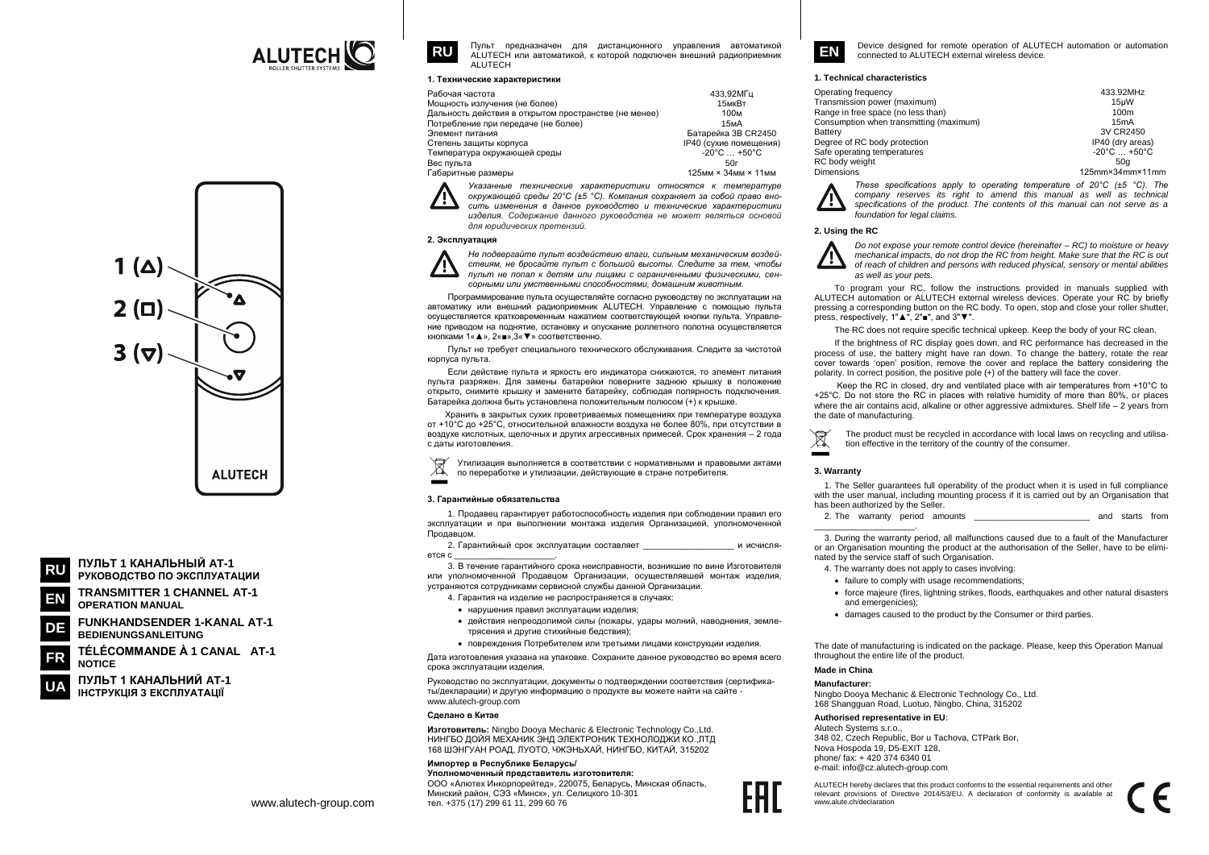

**ALUTECH** 

ПУЛЬТ 1 КАНАЛЬНЫЙ АТ-1

**OPERATION MANUAL** 

**NOTICE** 

**BEDIENUNGSANLEITUNG** 

ПУЛЬТ 1 КАНАЛЬНИЙ АТ-1

ІНСТРУКЦІЯ З ЕКСПЛУАТАЦІЇ

DE

РУКОВОДСТВО ПО ЭКСПЛУАТАЦИИ

**TRANSMITTER 1 CHANNEL AT-1** 

**FUNKHANDSENDER 1-KANAL AT-1** 

TÉLÉCOMMANDE À 1 CANAL AT-1

Пульт предназначен для дистанционного управления автоматикой АІ UTECH или автоматикой, к которой полключен внешний радиоприемник ALUTECH

#### 1. Технические характеристики

| Рабочая частота                                       | 433.92MFu                         |
|-------------------------------------------------------|-----------------------------------|
| Мощность излучения (не более)                         | 15мкВт                            |
| Дальность действия в открытом пространстве (не менее) | 100м                              |
| Потребление при передаче (не более)                   | 15 <sub>M</sub> A                 |
| Элемент питания                                       | Батарейка 3B CR2450               |
| Степень защиты корпуса                                | IP40 (сухие помещения)            |
| Гемпература окружающей среды                          | $-20^{\circ}$ C $+50^{\circ}$ C   |
| Зес пульта                                            | 50г                               |
| -абаритные размеры                                    | 125мм $\times$ 34мм $\times$ 11мм |
|                                                       |                                   |

Указанные технические характеристики относятся к температуре окружающей среды 20°С (±5 °С). Компания сохраняет за собой право вносить изменения в данное руководство и технические характеристики изделия. Содержание данного руководства не может являться основой для юридических претензий.

## 2. Эксплуатация



**RU** 

Не подвергайте пульт воздействию влаги, сильным механическим воздействиям, не бросайте пульт с большой высоты. Следите за тем, чтобы пульт не попал к детям или лицами с ограниченными физическими, сенсорными или умственными способностями. домашним животным

Программирование пульта осуществляйте согласно руководству по эксплуатации на автоматику или внешний радиоприемник ALUTECH. Управление с помощью пульта осуществляется кратковременным нажатием соответствующей кнопки пульта. Управление приводом на поднятие, остановку и опускание роллетного полотна осуществляется кнопками 1« ▲ ». 2« ■ ».3« ▼ » соответственно

Пульт не требует специального технического обслуживания. Следите за чистотой корпуса пульта.

Если действие пульта и яркость его индикатора снижаются, то элемент питания пульта разряжен. Для замены батарейки поверните заднюю крышку в положение открыто, снимите крышку и замените батарейку, соблюдая полярность подключения. Батарейка должна быть установлена положительным полюсом (+) к крышке.

Хранить в закрытых сухих проветриваемых помещениях при температуре воздуха от +10°С до +25°С, относительной влажности воздуха не более 80%, при отсутствии в воздухе кислотных, шелочных и других агрессивных примесей. Срок хранения - 2 года с даты изготовления.

Утилизация выполняется в соответствии с нормативными и правовыми актами по переработке и утилизации, действующие в стране потребителя.

#### 3. Гарантийные обязательства

1. Продавец гарантирует работоспособность изделия при соблюдении правил его эксплуатации и при выполнении монтажа изделия Организацией, уполномоченной Продавцом

2. Гарантийный срок эксплуатации составляет и исчисля erca c

3. В течение гарантийного срока неисправности, возникшие по вине Изготовителя или уполномоченной Продавцом Организации, осуществлявшей монтаж изделия. устраняются сотрудниками сервисной службы данной Организации.

4. Гарантия на изделие не распространяется в случаях:

- нарушения правил эксплуатации изделия
- действия непреодолимой силы (пожары, удары молний, наводнения, землетрясения и другие стихийные бедствия);
- повреждения Потребителем или третьими лицами конструкции изделия.

Дата изготовления указана на упаковке. Сохраните данное руководство во время всего срока эксплуатации изделия.

Руководство по эксплуатации, документы о подтверждении соответствия (сертификаты/декларации) и другую информацию о продукте вы можете найти на сайте www.alutech-group.com

#### Слепано в Китае

Изготовитель: Ningbo Doova Mechanic & Electronic Technology Co., Ltd. НИНГБО ДОЙЯ МЕХАНИК ЭНД ЭЛЕКТРОНИК ТЕХНОЛОДЖИ КО., ЛТД 168 ШЭНГУАН РОАД, ЛУОТО, ЧЖЭНЬХАЙ, НИНГБО, КИТАЙ, 315202

#### Импортер в Республике Беларусь/ Уполномоченный прелставитель изготовителя:

ООО «Алютех Инкорпорейтед», 220075, Беларусь, Минская область. Минский район, СЭЗ «Минск», ул. Селицкого 10-301 тел. +375 (17) 299 61 11, 299 60 76



Device designed for remote operation of ALUTECH automation or automation connected to ALUTECH external wireless device

## 1. Technical characteristics

| Operating frequency                     | 433.92MHz                       |
|-----------------------------------------|---------------------------------|
| ransmission power (maximum)             | 15uW                            |
| ange in free space (no less than)       | 100m                            |
| Consumption when transmitting (maximum) | 15mA                            |
| <b>latterv</b>                          | 3V CR2450                       |
| eqree of RC body protection             | IP40 (dry areas)                |
| afe operating temperatures              | $-20^{\circ}$ C $+50^{\circ}$ C |
| C body weight                           | 50a                             |
| <b>Dimensions</b>                       | 125mmx34mmx11mm                 |

These specifications apply to operating temperature of  $20^{\circ}$ C ( $\pm 5^{\circ}$ C). The company reserves its right to amend this manual as well as technical specifications of the product. The contents of this manual can not serve as a foundation for legal claims

## 2. Using the RC

Do not expose your remote control device (hereinafter – RC) to moisture or heavy mechanical impacts, do not drop the RC from height. Make sure that the RC is out of reach of children and persons with reduced physical, sensory or mental abilities as well as your pets.

To program your RC, follow the instructions provided in manuals supplied with ALUTECH automation or ALUTECH external wireless devices. Operate your RC by briefly pressing a corresponding button on the RC body. To open, stop and close your roller shutter. press, respectively, 1"▲", 2"■", and 3"▼".

The RC does not require specific technical upkeep. Keep the body of your RC clean.

If the brightness of RC display goes down, and RC performance has decreased in the process of use, the battery might have ran down. To change the battery, rotate the rear cover towards 'open' position, remove the cover and replace the battery considering the polarity. In correct position, the positive pole (+) of the battery will face the cover.

Keep the RC in closed, dry and ventilated place with air temperatures from +10°C to +25°C. Do not store the RC in places with relative humidity of more than 80%, or places where the air contains acid, alkaline or other aggressive admixtures. Shelf life  $-2$  years from the date of manufacturing.

The product must be recycled in accordance with local laws on recycling and utilisa- $\mathbb{Z}$ tion effective in the territory of the country of the consumer.

#### 3. Warranty

1. The Seller guarantees full operability of the product when it is used in full compliance with the user manual, including mounting process if it is carried out by an Organisation that has been authorized by the Seller.

2. The warranty period amounts and starts from

3. During the warranty period, all malfunctions caused due to a fault of the Manufacturer or an Organisation mounting the product at the authorisation of the Seller, have to be eliminated by the service staff of such Organisation.

- 4. The warranty does not apply to cases involving:
- failure to comply with usage recommendations:
- force majeure (fires, lightning strikes, floods, earthquakes and other natural disasters and emergenicies):
- damages caused to the product by the Consumer or third parties.

The date of manufacturing is indicated on the package. Please, keep this Operation Manual throughout the entire life of the product.

# Made in China

## Manufacturer

Ningbo Dooya Mechanic & Electronic Technology Co., Ltd 168 Shangguan Road, Luotuo, Ningbo, China, 315202

Authorised representative in EU:

Alutach Systems s r o 348.02 Czech Republic, Bor u Tachova, CTPark Bor Nova Hospoda 19, D5-EXIT 128, phone/ fax: +420 374 6340 01 e-mail: info@cz.alutech-group.com

ALUTECH hereby declares that this product conforms to the essential requirements and other relevant provisions of Directive 2014/53/EU. A declaration of conformity is available at<br>www.alute.ch/declaration